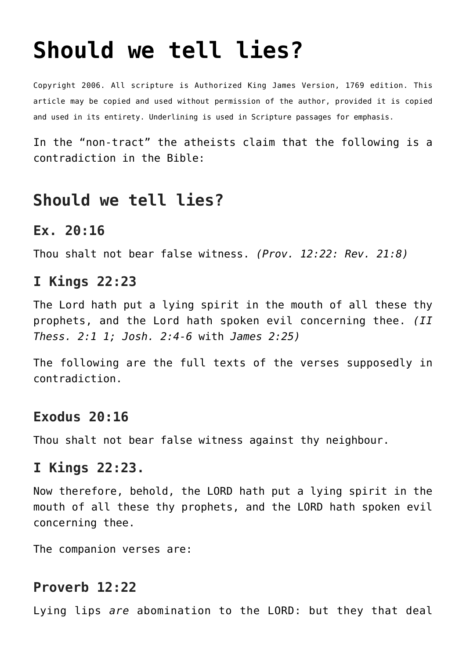# **[Should we tell lies?](http://reproachofmen.org/apologetics/should-we-tell-lies/)**

Copyright 2006. All scripture is Authorized King James Version, 1769 edition. This article may be copied and used without permission of the author, provided it is copied and used in its entirety. Underlining is used in Scripture passages for emphasis.

In the "non-tract" the atheists claim that the following is a contradiction in the Bible:

## **Should we tell lies?**

#### **Ex. 20:16**

Thou shalt not bear false witness. *(Prov. 12:22: Rev. 21:8)*

## **I Kings 22:23**

The Lord hath put a lying spirit in the mouth of all these thy prophets, and the Lord hath spoken evil concerning thee. *(II Thess. 2:1 1; Josh. 2:4-6* with *James 2:25)*

The following are the full texts of the verses supposedly in contradiction.

## **Exodus 20:16**

Thou shalt not bear false witness against thy neighbour.

## **I Kings 22:23.**

Now therefore, behold, the LORD hath put a lying spirit in the mouth of all these thy prophets, and the LORD hath spoken evil concerning thee.

The companion verses are:

## **Proverb 12:22**

Lying lips *are* abomination to the LORD: but they that deal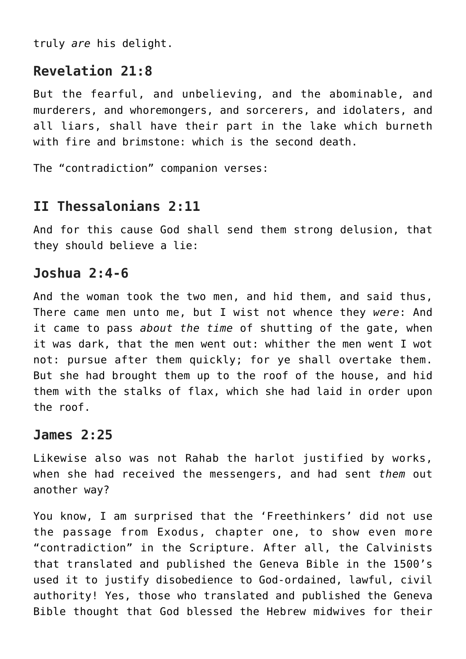truly *are* his delight.

## **Revelation 21:8**

But the fearful, and unbelieving, and the abominable, and murderers, and whoremongers, and sorcerers, and idolaters, and all liars, shall have their part in the lake which burneth with fire and brimstone: which is the second death.

```
The "contradiction" companion verses:
```
## **II Thessalonians 2:11**

And for this cause God shall send them strong delusion, that they should believe a lie:

## **Joshua 2:4-6**

And the woman took the two men, and hid them, and said thus, There came men unto me, but I wist not whence they *were*: And it came to pass *about the time* of shutting of the gate, when it was dark, that the men went out: whither the men went I wot not: pursue after them quickly; for ye shall overtake them. But she had brought them up to the roof of the house, and hid them with the stalks of flax, which she had laid in order upon the roof.

## **James 2:25**

Likewise also was not Rahab the harlot justified by works, when she had received the messengers, and had sent *them* out another way?

You know, I am surprised that the 'Freethinkers' did not use the passage from Exodus, chapter one, to show even more "contradiction" in the Scripture. After all, the Calvinists that translated and published the Geneva Bible in the 1500's used it to justify disobedience to God-ordained, lawful, civil authority! Yes, those who translated and published the Geneva Bible thought that God blessed the Hebrew midwives for their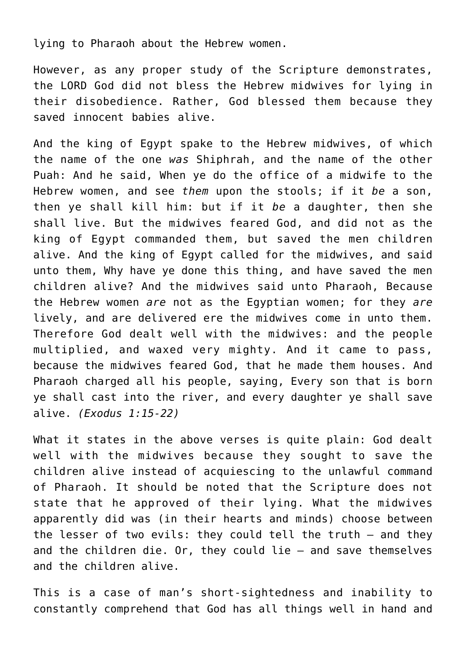lying to Pharaoh about the Hebrew women.

However, as any proper study of the Scripture demonstrates, the LORD God did not bless the Hebrew midwives for lying in their disobedience. Rather, God blessed them because they saved innocent babies alive.

And the king of Egypt spake to the Hebrew midwives, of which the name of the one *was* Shiphrah, and the name of the other Puah: And he said, When ye do the office of a midwife to the Hebrew women, and see *them* upon the stools; if it *be* a son, then ye shall kill him: but if it *be* a daughter, then she shall live. But the midwives feared God, and did not as the king of Egypt commanded them, but saved the men children alive. And the king of Egypt called for the midwives, and said unto them, Why have ye done this thing, and have saved the men children alive? And the midwives said unto Pharaoh, Because the Hebrew women *are* not as the Egyptian women; for they *are* lively, and are delivered ere the midwives come in unto them. Therefore God dealt well with the midwives: and the people multiplied, and waxed very mighty. And it came to pass, because the midwives feared God, that he made them houses. And Pharaoh charged all his people, saying, Every son that is born ye shall cast into the river, and every daughter ye shall save alive. *(Exodus 1:15-22)*

What it states in the above verses is quite plain: God dealt well with the midwives because they sought to save the children alive instead of acquiescing to the unlawful command of Pharaoh. It should be noted that the Scripture does not state that he approved of their lying. What the midwives apparently did was (in their hearts and minds) choose between the lesser of two evils: they could tell the truth — and they and the children die. Or, they could lie — and save themselves and the children alive.

This is a case of man's short-sightedness and inability to constantly comprehend that God has all things well in hand and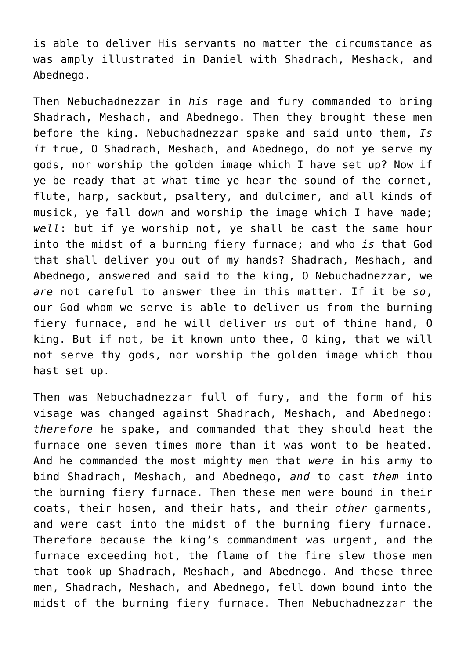is able to deliver His servants no matter the circumstance as was amply illustrated in Daniel with Shadrach, Meshack, and Abednego.

Then Nebuchadnezzar in *his* rage and fury commanded to bring Shadrach, Meshach, and Abednego. Then they brought these men before the king. Nebuchadnezzar spake and said unto them, *Is it* true, O Shadrach, Meshach, and Abednego, do not ye serve my gods, nor worship the golden image which I have set up? Now if ye be ready that at what time ye hear the sound of the cornet, flute, harp, sackbut, psaltery, and dulcimer, and all kinds of musick, ye fall down and worship the image which I have made; *well*: but if ye worship not, ye shall be cast the same hour into the midst of a burning fiery furnace; and who *is* that God that shall deliver you out of my hands? Shadrach, Meshach, and Abednego, answered and said to the king, O Nebuchadnezzar, we *are* not careful to answer thee in this matter. If it be *so*, our God whom we serve is able to deliver us from the burning fiery furnace, and he will deliver *us* out of thine hand, O king. But if not, be it known unto thee, O king, that we will not serve thy gods, nor worship the golden image which thou hast set up.

Then was Nebuchadnezzar full of fury, and the form of his visage was changed against Shadrach, Meshach, and Abednego: *therefore* he spake, and commanded that they should heat the furnace one seven times more than it was wont to be heated. And he commanded the most mighty men that *were* in his army to bind Shadrach, Meshach, and Abednego, *and* to cast *them* into the burning fiery furnace. Then these men were bound in their coats, their hosen, and their hats, and their *other* garments, and were cast into the midst of the burning fiery furnace. Therefore because the king's commandment was urgent, and the furnace exceeding hot, the flame of the fire slew those men that took up Shadrach, Meshach, and Abednego. And these three men, Shadrach, Meshach, and Abednego, fell down bound into the midst of the burning fiery furnace. Then Nebuchadnezzar the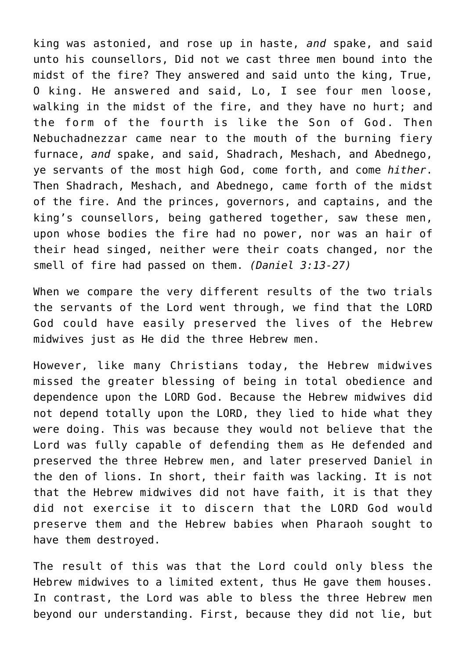king was astonied, and rose up in haste, *and* spake, and said unto his counsellors, Did not we cast three men bound into the midst of the fire? They answered and said unto the king, True, O king. He answered and said, Lo, I see four men loose, walking in the midst of the fire, and they have no hurt; and the form of the fourth is like the Son of God. Then Nebuchadnezzar came near to the mouth of the burning fiery furnace, *and* spake, and said, Shadrach, Meshach, and Abednego, ye servants of the most high God, come forth, and come *hither*. Then Shadrach, Meshach, and Abednego, came forth of the midst of the fire. And the princes, governors, and captains, and the king's counsellors, being gathered together, saw these men, upon whose bodies the fire had no power, nor was an hair of their head singed, neither were their coats changed, nor the smell of fire had passed on them. *(Daniel 3:13-27)*

When we compare the very different results of the two trials the servants of the Lord went through, we find that the LORD God could have easily preserved the lives of the Hebrew midwives just as He did the three Hebrew men.

However, like many Christians today, the Hebrew midwives missed the greater blessing of being in total obedience and dependence upon the LORD God. Because the Hebrew midwives did not depend totally upon the LORD, they lied to hide what they were doing. This was because they would not believe that the Lord was fully capable of defending them as He defended and preserved the three Hebrew men, and later preserved Daniel in the den of lions. In short, their faith was lacking. It is not that the Hebrew midwives did not have faith, it is that they did not exercise it to discern that the LORD God would preserve them and the Hebrew babies when Pharaoh sought to have them destroyed.

The result of this was that the Lord could only bless the Hebrew midwives to a limited extent, thus He gave them houses. In contrast, the Lord was able to bless the three Hebrew men beyond our understanding. First, because they did not lie, but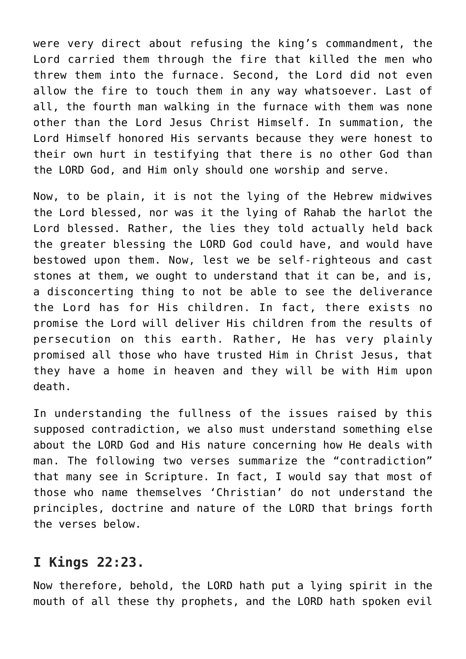were very direct about refusing the king's commandment, the Lord carried them through the fire that killed the men who threw them into the furnace. Second, the Lord did not even allow the fire to touch them in any way whatsoever. Last of all, the fourth man walking in the furnace with them was none other than the Lord Jesus Christ Himself. In summation, the Lord Himself honored His servants because they were honest to their own hurt in testifying that there is no other God than the LORD God, and Him only should one worship and serve.

Now, to be plain, it is not the lying of the Hebrew midwives the Lord blessed, nor was it the lying of Rahab the harlot the Lord blessed. Rather, the lies they told actually held back the greater blessing the LORD God could have, and would have bestowed upon them. Now, lest we be self-righteous and cast stones at them, we ought to understand that it can be, and is, a disconcerting thing to not be able to see the deliverance the Lord has for His children. In fact, there exists no promise the Lord will deliver His children from the results of persecution on this earth. Rather, He has very plainly promised all those who have trusted Him in Christ Jesus, that they have a home in heaven and they will be with Him upon death.

In understanding the fullness of the issues raised by this supposed contradiction, we also must understand something else about the LORD God and His nature concerning how He deals with man. The following two verses summarize the "contradiction" that many see in Scripture. In fact, I would say that most of those who name themselves 'Christian' do not understand the principles, doctrine and nature of the LORD that brings forth the verses below.

## **I Kings 22:23.**

Now therefore, behold, the LORD hath put a lying spirit in the mouth of all these thy prophets, and the LORD hath spoken evil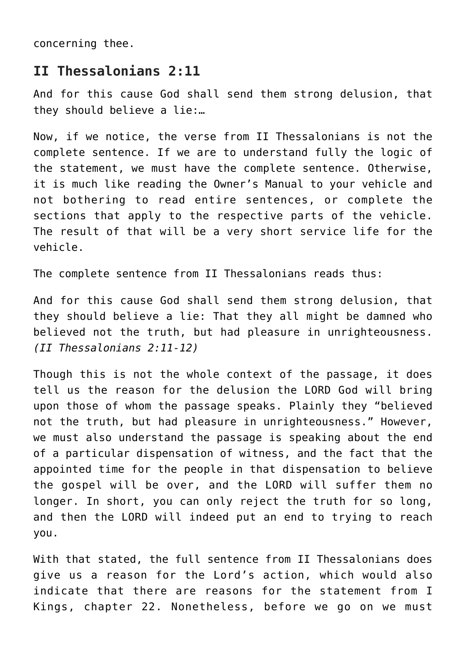concerning thee.

#### **II Thessalonians 2:11**

And for this cause God shall send them strong delusion, that they should believe a lie:…

Now, if we notice, the verse from II Thessalonians is not the complete sentence. If we are to understand fully the logic of the statement, we must have the complete sentence. Otherwise, it is much like reading the Owner's Manual to your vehicle and not bothering to read entire sentences, or complete the sections that apply to the respective parts of the vehicle. The result of that will be a very short service life for the vehicle.

The complete sentence from II Thessalonians reads thus:

And for this cause God shall send them strong delusion, that they should believe a lie: That they all might be damned who believed not the truth, but had pleasure in unrighteousness. *(II Thessalonians 2:11-12)*

Though this is not the whole context of the passage, it does tell us the reason for the delusion the LORD God will bring upon those of whom the passage speaks. Plainly they "believed not the truth, but had pleasure in unrighteousness." However, we must also understand the passage is speaking about the end of a particular dispensation of witness, and the fact that the appointed time for the people in that dispensation to believe the gospel will be over, and the LORD will suffer them no longer. In short, you can only reject the truth for so long, and then the LORD will indeed put an end to trying to reach you.

With that stated, the full sentence from II Thessalonians does give us a reason for the Lord's action, which would also indicate that there are reasons for the statement from I Kings, chapter 22. Nonetheless, before we go on we must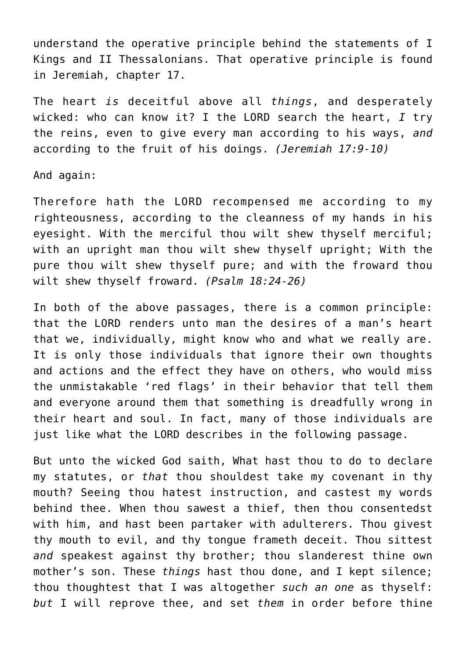understand the operative principle behind the statements of I Kings and II Thessalonians. That operative principle is found in Jeremiah, chapter 17.

The heart *is* deceitful above all *things*, and desperately wicked: who can know it? I the LORD search the heart, *I* try the reins, even to give every man according to his ways, *and* according to the fruit of his doings. *(Jeremiah 17:9-10)*

And again:

Therefore hath the LORD recompensed me according to my righteousness, according to the cleanness of my hands in his eyesight. With the merciful thou wilt shew thyself merciful; with an upright man thou wilt shew thyself upright; With the pure thou wilt shew thyself pure; and with the froward thou wilt shew thyself froward. *(Psalm 18:24-26)*

In both of the above passages, there is a common principle: that the LORD renders unto man the desires of a man's heart that we, individually, might know who and what we really are. It is only those individuals that ignore their own thoughts and actions and the effect they have on others, who would miss the unmistakable 'red flags' in their behavior that tell them and everyone around them that something is dreadfully wrong in their heart and soul. In fact, many of those individuals are just like what the LORD describes in the following passage.

But unto the wicked God saith, What hast thou to do to declare my statutes, or *that* thou shouldest take my covenant in thy mouth? Seeing thou hatest instruction, and castest my words behind thee. When thou sawest a thief, then thou consentedst with him, and hast been partaker with adulterers. Thou givest thy mouth to evil, and thy tongue frameth deceit. Thou sittest *and* speakest against thy brother; thou slanderest thine own mother's son. These *things* hast thou done, and I kept silence; thou thoughtest that I was altogether *such an one* as thyself: *but* I will reprove thee, and set *them* in order before thine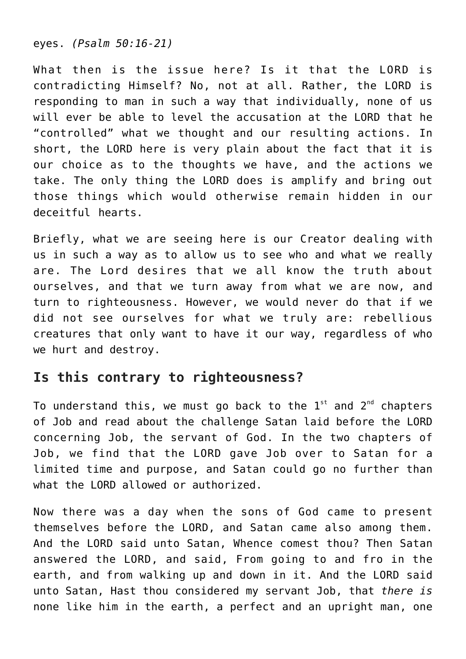eyes. *(Psalm 50:16-21)*

What then is the issue here? Is it that the LORD is contradicting Himself? No, not at all. Rather, the LORD is responding to man in such a way that individually, none of us will ever be able to level the accusation at the LORD that he "controlled" what we thought and our resulting actions. In short, the LORD here is very plain about the fact that it is our choice as to the thoughts we have, and the actions we take. The only thing the LORD does is amplify and bring out those things which would otherwise remain hidden in our deceitful hearts.

Briefly, what we are seeing here is our Creator dealing with us in such a way as to allow us to see who and what we really are. The Lord desires that we all know the truth about ourselves, and that we turn away from what we are now, and turn to righteousness. However, we would never do that if we did not see ourselves for what we truly are: rebellious creatures that only want to have it our way, regardless of who we hurt and destroy.

## **Is this contrary to righteousness?**

To understand this, we must go back to the  $1<sup>st</sup>$  and  $2<sup>nd</sup>$  chapters of Job and read about the challenge Satan laid before the LORD concerning Job, the servant of God. In the two chapters of Job, we find that the LORD gave Job over to Satan for a limited time and purpose, and Satan could go no further than what the LORD allowed or authorized.

Now there was a day when the sons of God came to present themselves before the LORD, and Satan came also among them. And the LORD said unto Satan, Whence comest thou? Then Satan answered the LORD, and said, From going to and fro in the earth, and from walking up and down in it. And the LORD said unto Satan, Hast thou considered my servant Job, that *there is* none like him in the earth, a perfect and an upright man, one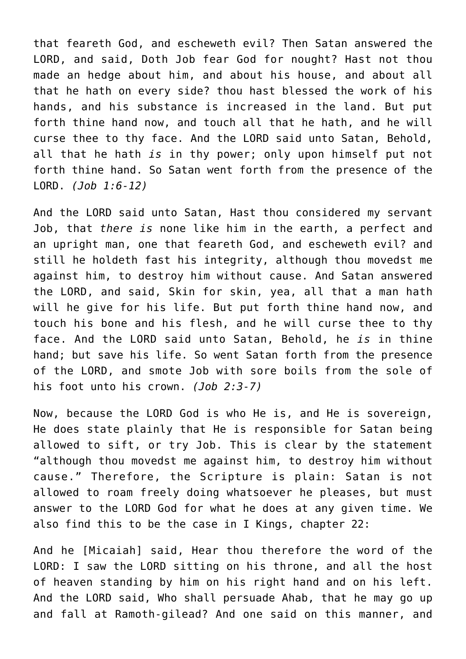that feareth God, and escheweth evil? Then Satan answered the LORD, and said, Doth Job fear God for nought? Hast not thou made an hedge about him, and about his house, and about all that he hath on every side? thou hast blessed the work of his hands, and his substance is increased in the land. But put forth thine hand now, and touch all that he hath, and he will curse thee to thy face. And the LORD said unto Satan, Behold, all that he hath *is* in thy power; only upon himself put not forth thine hand. So Satan went forth from the presence of the LORD. *(Job 1:6-12)*

And the LORD said unto Satan, Hast thou considered my servant Job, that *there is* none like him in the earth, a perfect and an upright man, one that feareth God, and escheweth evil? and still he holdeth fast his integrity, although thou movedst me against him, to destroy him without cause. And Satan answered the LORD, and said, Skin for skin, yea, all that a man hath will he give for his life. But put forth thine hand now, and touch his bone and his flesh, and he will curse thee to thy face. And the LORD said unto Satan, Behold, he *is* in thine hand; but save his life. So went Satan forth from the presence of the LORD, and smote Job with sore boils from the sole of his foot unto his crown. *(Job 2:3-7)*

Now, because the LORD God is who He is, and He is sovereign, He does state plainly that He is responsible for Satan being allowed to sift, or try Job. This is clear by the statement "although thou movedst me against him, to destroy him without cause." Therefore, the Scripture is plain: Satan is not allowed to roam freely doing whatsoever he pleases, but must answer to the LORD God for what he does at any given time. We also find this to be the case in I Kings, chapter 22:

And he [Micaiah] said, Hear thou therefore the word of the LORD: I saw the LORD sitting on his throne, and all the host of heaven standing by him on his right hand and on his left. And the LORD said, Who shall persuade Ahab, that he may go up and fall at Ramoth-gilead? And one said on this manner, and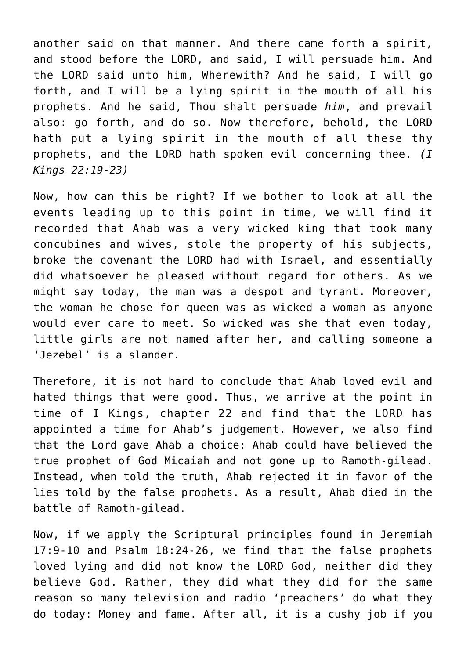another said on that manner. And there came forth a spirit, and stood before the LORD, and said, I will persuade him. And the LORD said unto him, Wherewith? And he said, I will go forth, and I will be a lying spirit in the mouth of all his prophets. And he said, Thou shalt persuade *him*, and prevail also: go forth, and do so. Now therefore, behold, the LORD hath put a lying spirit in the mouth of all these thy prophets, and the LORD hath spoken evil concerning thee. *(I Kings 22:19-23)*

Now, how can this be right? If we bother to look at all the events leading up to this point in time, we will find it recorded that Ahab was a very wicked king that took many concubines and wives, stole the property of his subjects, broke the covenant the LORD had with Israel, and essentially did whatsoever he pleased without regard for others. As we might say today, the man was a despot and tyrant. Moreover, the woman he chose for queen was as wicked a woman as anyone would ever care to meet. So wicked was she that even today, little girls are not named after her, and calling someone a 'Jezebel' is a slander.

Therefore, it is not hard to conclude that Ahab loved evil and hated things that were good. Thus, we arrive at the point in time of I Kings, chapter 22 and find that the LORD has appointed a time for Ahab's judgement. However, we also find that the Lord gave Ahab a choice: Ahab could have believed the true prophet of God Micaiah and not gone up to Ramoth-gilead. Instead, when told the truth, Ahab rejected it in favor of the lies told by the false prophets. As a result, Ahab died in the battle of Ramoth-gilead.

Now, if we apply the Scriptural principles found in Jeremiah 17:9-10 and Psalm 18:24-26, we find that the false prophets loved lying and did not know the LORD God, neither did they believe God. Rather, they did what they did for the same reason so many television and radio 'preachers' do what they do today: Money and fame. After all, it is a cushy job if you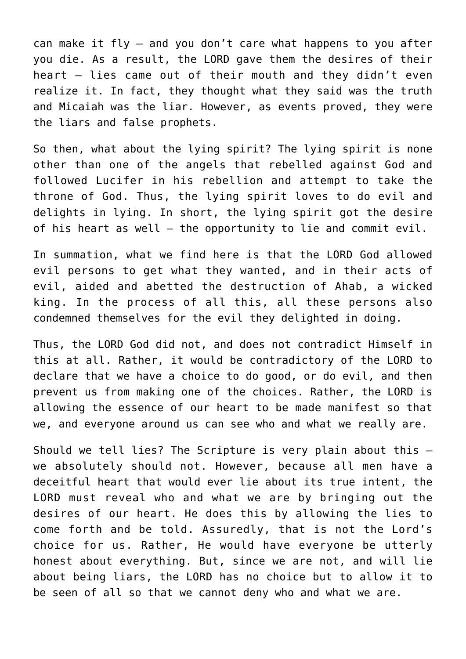can make it fly — and you don't care what happens to you after you die. As a result, the LORD gave them the desires of their heart — lies came out of their mouth and they didn't even realize it. In fact, they thought what they said was the truth and Micaiah was the liar. However, as events proved, they were the liars and false prophets.

So then, what about the lying spirit? The lying spirit is none other than one of the angels that rebelled against God and followed Lucifer in his rebellion and attempt to take the throne of God. Thus, the lying spirit loves to do evil and delights in lying. In short, the lying spirit got the desire of his heart as well — the opportunity to lie and commit evil.

In summation, what we find here is that the LORD God allowed evil persons to get what they wanted, and in their acts of evil, aided and abetted the destruction of Ahab, a wicked king. In the process of all this, all these persons also condemned themselves for the evil they delighted in doing.

Thus, the LORD God did not, and does not contradict Himself in this at all. Rather, it would be contradictory of the LORD to declare that we have a choice to do good, or do evil, and then prevent us from making one of the choices. Rather, the LORD is allowing the essence of our heart to be made manifest so that we, and everyone around us can see who and what we really are.

Should we tell lies? The Scripture is very plain about this we absolutely should not. However, because all men have a deceitful heart that would ever lie about its true intent, the LORD must reveal who and what we are by bringing out the desires of our heart. He does this by allowing the lies to come forth and be told. Assuredly, that is not the Lord's choice for us. Rather, He would have everyone be utterly honest about everything. But, since we are not, and will lie about being liars, the LORD has no choice but to allow it to be seen of all so that we cannot deny who and what we are.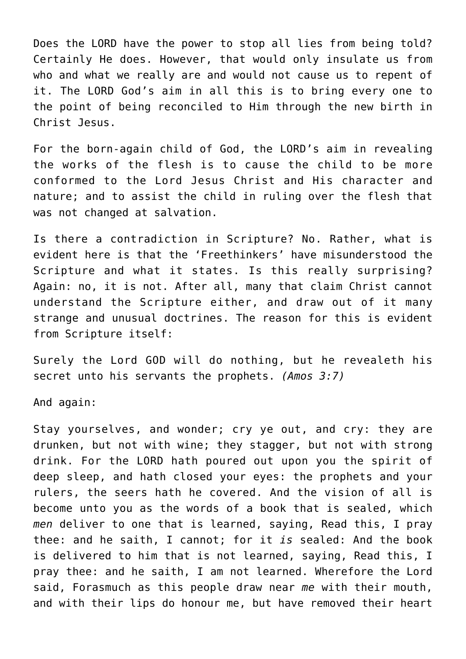Does the LORD have the power to stop all lies from being told? Certainly He does. However, that would only insulate us from who and what we really are and would not cause us to repent of it. The LORD God's aim in all this is to bring every one to the point of being reconciled to Him through the new birth in Christ Jesus.

For the born-again child of God, the LORD's aim in revealing the works of the flesh is to cause the child to be more conformed to the Lord Jesus Christ and His character and nature; and to assist the child in ruling over the flesh that was not changed at salvation.

Is there a contradiction in Scripture? No. Rather, what is evident here is that the 'Freethinkers' have misunderstood the Scripture and what it states. Is this really surprising? Again: no, it is not. After all, many that claim Christ cannot understand the Scripture either, and draw out of it many strange and unusual doctrines. The reason for this is evident from Scripture itself:

Surely the Lord GOD will do nothing, but he revealeth his secret unto his servants the prophets. *(Amos 3:7)*

And again:

Stay yourselves, and wonder; cry ye out, and cry: they are drunken, but not with wine; they stagger, but not with strong drink. For the LORD hath poured out upon you the spirit of deep sleep, and hath closed your eyes: the prophets and your rulers, the seers hath he covered. And the vision of all is become unto you as the words of a book that is sealed, which *men* deliver to one that is learned, saying, Read this, I pray thee: and he saith, I cannot; for it *is* sealed: And the book is delivered to him that is not learned, saying, Read this, I pray thee: and he saith, I am not learned. Wherefore the Lord said, Forasmuch as this people draw near *me* with their mouth, and with their lips do honour me, but have removed their heart